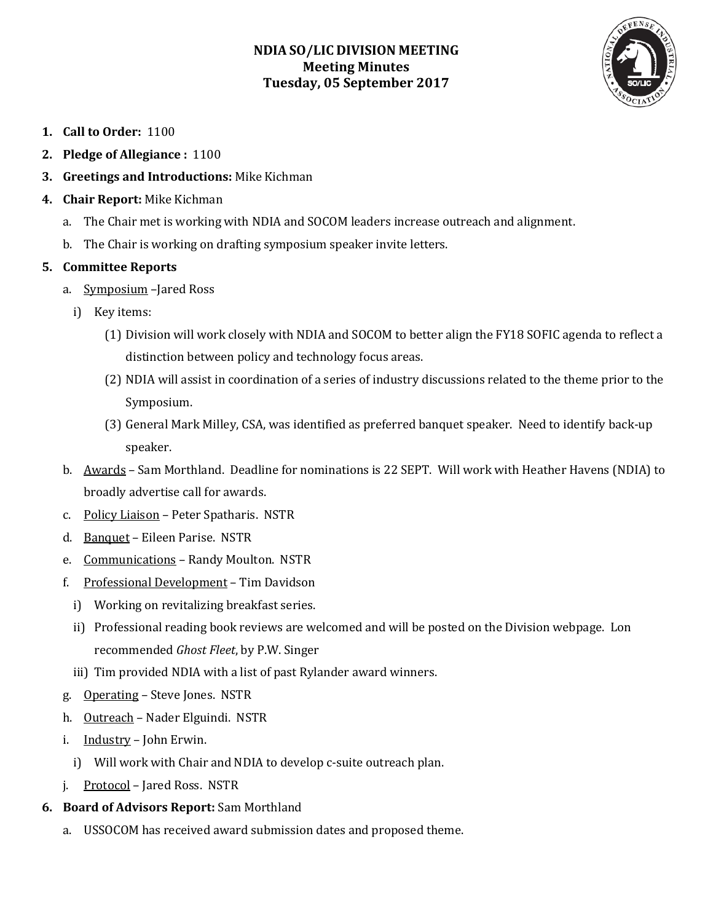# **NDIA SO/LIC DIVISION MEETING Meeting Minutes Tuesday, 05 September 2017**



- **1. Call to Order:** 1100
- **2. Pledge of Allegiance :** 1100
- **3. Greetings and Introductions:** Mike Kichman
- **4. Chair Report:** Mike Kichman
	- a. The Chair met is working with NDIA and SOCOM leaders increase outreach and alignment.
	- b. The Chair is working on drafting symposium speaker invite letters.

# **5. Committee Reports**

- a. Symposium –Jared Ross
	- i) Key items:
		- (1) Division will work closely with NDIA and SOCOM to better align the FY18 SOFIC agenda to reflect a distinction between policy and technology focus areas.
		- (2) NDIA will assist in coordination of a series of industry discussions related to the theme prior to the Symposium.
		- (3) General Mark Milley, CSA, was identified as preferred banquet speaker. Need to identify back-up speaker.
- b. Awards Sam Morthland. Deadline for nominations is 22 SEPT. Will work with Heather Havens (NDIA) to broadly advertise call for awards.
- c. Policy Liaison Peter Spatharis. NSTR
- d. Banquet Eileen Parise. NSTR
- e. Communications Randy Moulton. NSTR
- f. Professional Development Tim Davidson
	- i) Working on revitalizing breakfast series.
	- ii) Professional reading book reviews are welcomed and will be posted on the Division webpage. Lon recommended *Ghost Fleet*, by P.W. Singer
	- iii) Tim provided NDIA with a list of past Rylander award winners.
- g. Operating Steve Jones. NSTR
- h. Outreach Nader Elguindi. NSTR
- i. Industry John Erwin.
	- i) Will work with Chair and NDIA to develop c-suite outreach plan.
- j. Protocol Jared Ross. NSTR
- **6. Board of Advisors Report:** Sam Morthland
	- a. USSOCOM has received award submission dates and proposed theme.